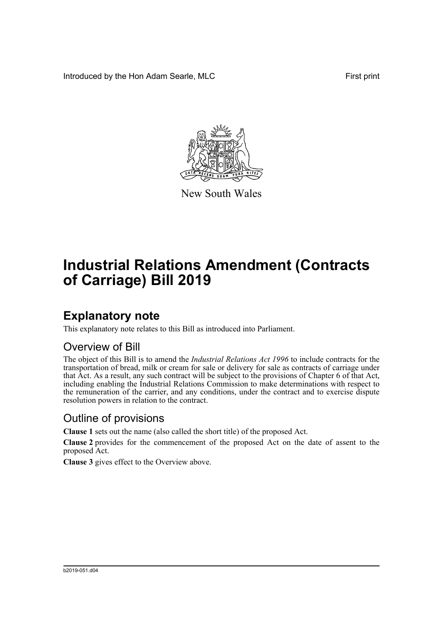Introduced by the Hon Adam Searle, MLC **First print** 



New South Wales

# **Industrial Relations Amendment (Contracts of Carriage) Bill 2019**

## **Explanatory note**

This explanatory note relates to this Bill as introduced into Parliament.

#### Overview of Bill

The object of this Bill is to amend the *Industrial Relations Act 1996* to include contracts for the transportation of bread, milk or cream for sale or delivery for sale as contracts of carriage under that Act. As a result, any such contract will be subject to the provisions of Chapter 6 of that Act, including enabling the Industrial Relations Commission to make determinations with respect to the remuneration of the carrier, and any conditions, under the contract and to exercise dispute resolution powers in relation to the contract.

#### Outline of provisions

**Clause 1** sets out the name (also called the short title) of the proposed Act.

**Clause 2** provides for the commencement of the proposed Act on the date of assent to the proposed Act.

**Clause 3** gives effect to the Overview above.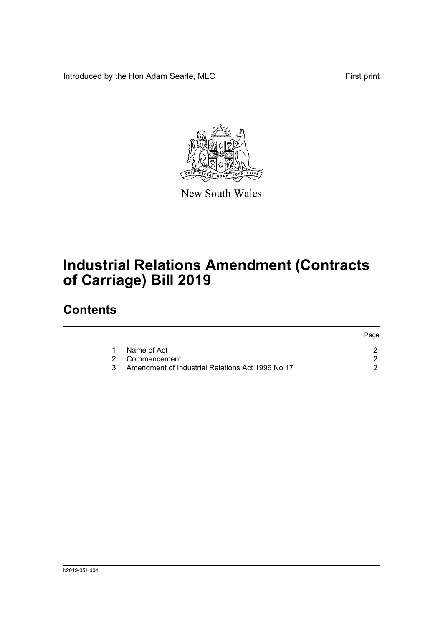Introduced by the Hon Adam Searle, MLC First print



New South Wales

# **Industrial Relations Amendment (Contracts of Carriage) Bill 2019**

### **Contents**

|                                                    | Page |
|----------------------------------------------------|------|
| 1 Name of Act                                      |      |
| 2 Commencement                                     |      |
| 3 Amendment of Industrial Relations Act 1996 No 17 |      |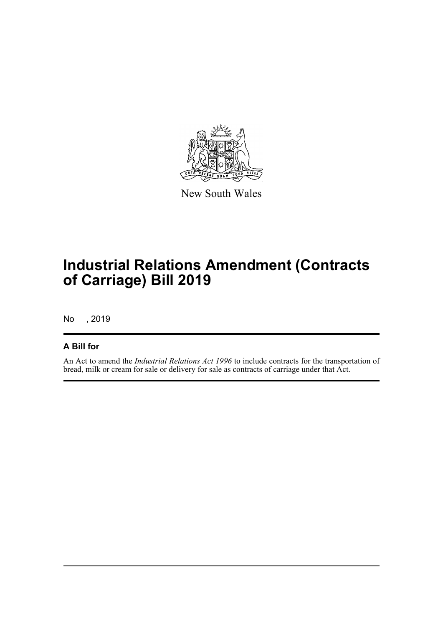

New South Wales

## **Industrial Relations Amendment (Contracts of Carriage) Bill 2019**

No , 2019

#### **A Bill for**

An Act to amend the *Industrial Relations Act 1996* to include contracts for the transportation of bread, milk or cream for sale or delivery for sale as contracts of carriage under that Act.